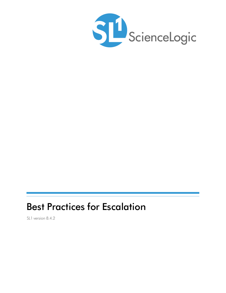

# Best Practices for Escalation

SL1 version 8.4.2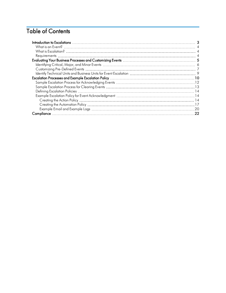## Table of Contents

| -20 |
|-----|
| 22  |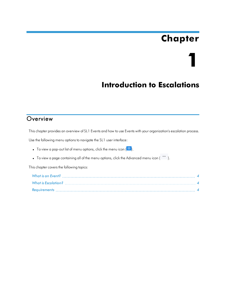# **Chapter**

**1**

## **Introduction to Escalations**

#### <span id="page-2-0"></span>**Overview**

This chapter provides an overview of SL1 Events and how to use Events with your organization's escalation process.

Use the following menu options to navigate the SL1 user interface:

• To view a pop-out list of menu options, click the menu icon  $(\blacksquare)$ .

• To view a page containing all of the menu options, click the Advanced menu icon ( "").

This chapter covers the following topics: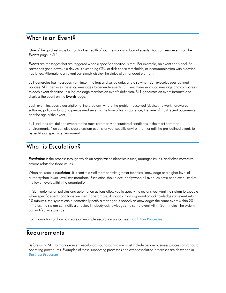#### <span id="page-3-0"></span>What is an Event?

One of the quickest ways to monitor the health of your network is to look at events. You can view events on the Events page in SL1.

*Events* are messages that are triggered when a specific condition is met. For example, an event can signal if a server has gone down, if a device is exceeding CPU or disk-space thresholds, or if communication with a device has failed. Alternately, an event can simply display the status of a managed element.

SL1 generates log messages from incoming trap and syslog data, and also when SL1 executes user-defined policies. SL1 then uses these log messages to generate events. SL1 examines each log message and compares it to each event definition. If a log message matches an event's definition, SL1 generates an event instance and displays the event on the **Events** page.

Each event includes a description of the problem, where the problem occurred (device, network hardware, software, policy violation), a pre-defined severity, the time of first occurrence, the time of most recent occurrence, and the age of the event.

SL1 includes pre-defined events for the most commonly encountered conditions in the most common environments. You can also create custom events for your specific environment or edit the pre-defined events to better fit your specific environment.

#### <span id="page-3-1"></span>What is Escalation?

**Escalation** is the process through which an organization identifies issues, manages issues, and takes corrective actions related to those issues.

When an issue is *escalated*, it is sent to a staff member with greater technical knowledge or a higher level of authority than lower-level staff members. Escalation should occur only when all avenues have been exhausted at the lower levels within the organization.

In SL1, automation policies and automation actions allow you to specify the actions you want the system to execute when specific event conditions are met. For example, if nobody in an organization acknowledges an event within 10 minutes, the system can automatically notify a manager. If nobody acknowledges the same event within 20 minutes, the system can notify a director. If nobody acknowledges the same event within 30 minutes, the system can notify a vice president.

<span id="page-3-2"></span>For information on how to create an example escalation policy, see *[Escalation](#page-9-1) Processes*.

#### Requirements

Before using SL1 to manage event escalation, your organization must include certain business process or standard operating procedures. Examples of these supporting processes and event escalation processes are described in *Business [Processes](#page-4-1)*.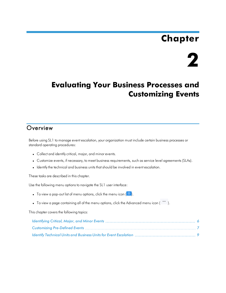# **Chapter**

# **2**

## <span id="page-4-1"></span><span id="page-4-0"></span>**Evaluating Your Business Processes and Customizing Events**

#### **Overview**

Before using SL1 to manage event escalation, your organization must include certain business processes or standard operating procedures:

- Collect and identify critical, major, and minor events.
- Customize events, if necessary, to meet business requirements, such as service level agreements (SLAs).
- Identify the technical and business units that should be involved in event escalation.

These tasks are described in this chapter.

Use the following menu options to navigate the SL1 user interface:

- To view a pop-out list of menu options, click the menu icon  $\left( \equiv \right)$ .
- To view a page containing all of the menu options, click the Advanced menu icon ("").

This chapter covers the following topics: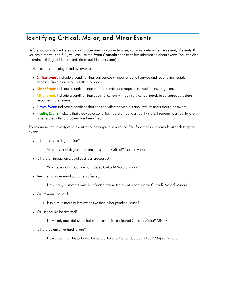### <span id="page-5-0"></span>Identifying Critical, Major, and Minor Events

Before you can define the escalation procedures for your enterprise, you must determine the severity of events. If you are already using SL1, you can use the Event Console page to collect information about events. You can also examine existing incident records (from outside the system).

In SL1, events are categorized by severity:

- Critical Events indicate a condition that can seriously impair or curtail service and require immediate attention (such as service or system outages).
- Major Events indicate a condition that impacts service and requires immediate investigation.
- . Minor Events indicate a condition that does not currently impair service, but needs to be corrected before it becomes more severe.
- Notice Events indicate a condition that does not affect service but about which users should be aware.
- Healthy Events indicate that a device or condition has returned to a healthy state. Frequently, a healthy event is generated after a problem has been fixed.

To determine the severity of an event to your enterprise, ask yourself the following questions about each targeted event:

- Is there service degradation?
	- <sup>o</sup> What levels of degradation are considered Critical? Major? Minor?
- Is there an impact on crucial business processes?
	- <sup>o</sup> What levels of impact are considered Critical? Major? Minor?
- Are internal or external customers affected?
	- <sup>o</sup> How many customers must be affected before the event is considered Critical? Major? Minor?
- Will revenue be lost?
	- <sup>o</sup> Is this issue more or less expensive than other pending issues?
- Will schedules be affected?
	- <sup>o</sup> How likely must delays be before the event is considered Critical? Major? Minor?
- Is there potential for hard failure?
	- <sup>o</sup> How great must this potential be before the event is considered Critical? Major? Minor?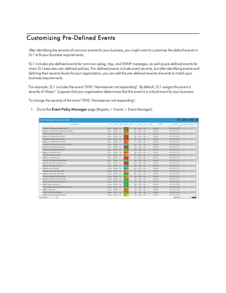#### <span id="page-6-0"></span>Customizing Pre-Defined Events

After identifying the severity of common events for your business, you might want to customize the default events in SL1 to fit your business requirements.

SL1 includes pre-defined events for common syslog, trap, and SNMP messages, as well as pre-defined events for when SL1executes user-defined policies. Pre-defined events include event severity, but after identifying events and defining their severity levels for your organization, you can edit the pre-defined severity of events to match your business requirements.

For example, SL1 includes the event "DNS: Nameserver not responding". By default, SL1 assigns this event a severity of "Major". Suppose that your organization determines that this event is a critical event for your business.

To change the severity of the event "DNS: Nameserver not responding":

1. Go to the Event Policy Manager page (Registry > Events > Event Manager):

| <b>Event Policy Manager   Policies Found [4040]</b>        |                 |         |            |                |        |      |                |        |              |           |                       | Create | Reset       |                          | Guide  |
|------------------------------------------------------------|-----------------|---------|------------|----------------|--------|------|----------------|--------|--------------|-----------|-----------------------|--------|-------------|--------------------------|--------|
| Event Policy Name .                                        | Type            | State   | P-Pack     | Severity       | Weight | D    | Expiry         | Time   | Thresh       | Edited By | <b>Last Edited</b>    |        | External ID | Ext. Category            | ø      |
|                                                            |                 |         |            |                |        |      |                |        |              |           | All.                  | lv     |             |                          |        |
| 1. P N AKCP: AC Voltage sensor detects no current          | Syslog          | Enabled | Yes        | Critical       | ۱о     | 2959 | 90 Min.        | 0 Min. | 'n           | em7admin  | 2017-02-16 10:17:19   |        |             | ÷.                       | c      |
| 2. P a AKCP: AC Voltage sensor now reporting Normal Status | Syslog          | Enabled | Yes        | Healthy        | I٥     | 2965 | 15 Min.        | 0 Min. | $\circ$      | em7admin  | 2017-02-16 10:17:19   |        |             |                          | о      |
| 3. O AKCP: DC Voltage High Warning                         | Syslog          | Enabled | Yes        | Major          | ю      | 2970 | 90 Min.        | 0 Min. | ۱o           | em7admin  | 2017-02-16 10:17:19   |        | <b>Sep</b>  | <b>Hole</b>              | c      |
| 4. P Th AKCP: DC Voltage sensor High Critical              | Syslog          | Enabled | Yes        | Critical       | 10     | 2968 | 90 Min.        | 0 Min  | $\Omega$     | em7admin  | 2017-02-16 10:17:19   |        |             |                          | о      |
| 5. A FI AKCP: DC Voltage sensor Low Critical               | Syslog          | Enabled | Yes        | Critical       | 10     | 2969 | 90 Min.        | 0 Min  | ۱o           | em7admin  | 2017-02-16 10:17:19   |        | ÷           | $\sim$                   | O      |
| 6. A E AKCP: DC Voltage sensor Low Warning                 | Syslog          | Enabled | Yes        | Major          | 10     | 2971 | 90 Min.        | 0 Min. | $\Omega$     | em7admin  | 2017-02-16 10:17:19   |        | ÷.          |                          | □      |
| 7. P h AKCP: DC Voltage sensor returned to Normal Status   | Syslog          | Enabled | Yes        | Healthy        | ю      | 2972 | <b>15 Min.</b> | 0 Min. | 'n           | em7admin  | 2017-02-16 10:17:19   |        |             |                          | C      |
| 8. AKCP: Dry Contact Sensor Low Critical                   | Syslog          | Enabled | Yes        | Critical       | I٥     | 2958 | 90 Min.        | 0 Min. | $\mathbf{0}$ | em7admin  | 2017-02-16 10:17:19   |        |             |                          | □      |
| 9. (A T) AKCP: Dry contact sensor now Normal               | Syslog          | Enabled | Yes        | Healthy        | 12     | 2963 | 15 Min.        | 0 Min. | ۱o           | em7admin  | 2017-02-16 10:17:19   |        |             |                          | о      |
| 10. P Th AKCP: Humidity High Warning                       | Syslog          | Enabled | Yes        | <b>Major</b>   | I٥     | 2966 | 90 Min         | 0 Min  | $\Omega$     | em7admin  | 2017-02-16 10:17:19   |        |             |                          | □      |
| 11. P in AKCP: Humidity Low Warning                        | Syslog          | Enabled | <b>Yes</b> | Major          | lo.    | 2967 | 90 Min.        | 0 Min. | ۱n           | em7admin  | 2017-02-16 10:17:19   |        | ۰.          |                          | D      |
| 12. P NKCP: Smoke Detector Alert!                          | Syslog          | Enabled | Yes        | Critical       | 10     | 2964 | 90 Min.        | 0 Min. | $\circ$      | em7admin  | 2017-02-16 10:17:19   |        | ÷.          |                          | о      |
| 13. <sup>4</sup> h AKCP: Smoke detector now Normal Status  | Syslog          | Enabled | Yes        | Healthy        | в      | 2960 | <b>15 Min.</b> | 0 Min. | 10           | em7admin  | 2017-02-16 10:17:19   |        | $\sim$      | $\sim$                   | ō      |
| 14. <sup>A</sup> D) AKCP: Water Sensor has detected water  | Syslog          | Enabled | Yes        | Critical       | 10     | 2962 | 90 Min.        | 0 Min. | $\mathbf{0}$ | em7admin  | 2017-02-16 10:17:19   |        | <b>COL</b>  |                          | о      |
| 15. <sup>(a</sup> iii) AKCP: Water sensor now Normal       | Syslog          | Enabled | Yes        | Healthy        | I٥     | 2961 | <b>15 Min.</b> | 0 Min. | ۱o           | em7admin  | 2017-02-16 10:17:19   |        | н.          | $\sim$                   | о      |
| 16. P R Alteon: New Flash Enabled                          | Dynamic         | Enabled | Yes        | <b>Jotice</b>  | 10     | 2830 | 30 Min.        | 0 Min  | $\Omega$     | em7admin  | 2017-02-16 10:17:14   |        | ÷           |                          | □      |
| 17. <sup>4</sup> h Alteon: Primary Power Supply Failure    | Dynamic         | Enabled | Yes        | Major          | lo.    | 2826 | 90 Min.        | 0 Min. | ۱n           | em7admin  | 2017-02-16 10:17:14   |        |             | ×,                       | $\Box$ |
| 18. Alteon: Primary Power Supply Healthy                   | Dynamic         | Enabled | Yes        | <b>Healthy</b> | 10     | 2827 | <b>15 Min.</b> | 0 Min. | $\circ$      | em7admin  | 2017-02-16 10:17:14   |        |             |                          | □      |
| 19. (2) Alteon: Redundant Power Supply Failure             | Dynamic         | Enabled | Yes        | Najor          | lo     | 2828 | 90 Min.        | 0 Min. | o            | em7admin  | 2017-02-16 10:17:14   |        |             |                          |        |
| 20. (A) Alteon: Redundant Power Supply Healthy             | Dynamic         | Enabled | Yes        | lealthy        | 10     | 2829 | <b>15 Min.</b> | 0 Min. | $\Omega$     | em7admin  | 2017-02-16 10:17:14   |        |             |                          | П      |
| 21. P in APC: Batteries Do Not Need Replacement            | Dynamic         | Enabled | Yes        | Healthy        | 10     | 1577 | 15 Min.        | 0 Min  | ۱o           | em7admin  | 2017-02-16 10:16:06   |        |             | $\overline{\phantom{a}}$ | $\Box$ |
| 22. P H APC: Battery Charge Normal                         | Dynamic         | Enabled | Yes        | Healthy        | 10     | 1585 | 15 Min.        | 0 Min. | $\Omega$     | em7admin  | 2017-02-16 10:16:06   |        | <b>1999</b> |                          | □      |
| 23. APC: Battery Run Time Remaining No Longer Critical     | Dynamic         | Enabled | Yes        | Healthy        | l o    | 1579 | 15 Min.        | 0 Min. | n            | em7admin  | 2017-02-16 10:16:06   |        |             |                          | D      |
| 24. <sup>A</sup> D APC: Battery Status                     | Dynamic         | Enabled | Yes        | <b>Major</b>   | 10     | 1584 | 90 Min.        | 0 Min. | $\circ$      | em7admin  | 2017-02-16 10:16:06   |        |             |                          | □      |
| 25. <sup>(a</sup> a) APC: Calibration Test Completed       | Dynamic         | Enabled | Yes        | lealthy        | ю      | 1598 | <b>15 Min.</b> | 0 Min. | ۱o           | em7admin  | 2017-02-16 10:16:06   |        |             | ×.                       |        |
| 26. P The APC: Calibration Test Did Not Complete           | Dynamic Enabled |         | Yes        | <b>Minor</b>   | 10     | 1596 | 60 Min.        | O Min. | $\Omega$     | em7admin  | 2017-02-16 10:16:06   |        |             |                          | 口。     |
| $\vee$<br>[Viewing Page: 1]                                |                 |         |            |                |        |      |                |        |              |           | <b>ISelect Action</b> |        |             |                          | Go     |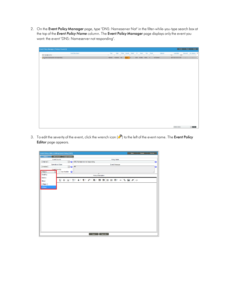2. On the Event Policy Manager page, type "DNS: Nameserver Not" in the filter-while-you-type search box at the top of the *Event Policy Name* column. The Event Policy Manager page displays only the event you want: the event "DNS: Nameserver not responding".

| Event Policy Manager   Policies Found [1] |                     |          |             |                        |              |        |                       |        |          |           | Create                                               | Reset  | Guide                        |        |
|-------------------------------------------|---------------------|----------|-------------|------------------------|--------------|--------|-----------------------|--------|----------|-----------|------------------------------------------------------|--------|------------------------------|--------|
| DNS: Namesjerver Not                      | Event Policy Name . | Type     | State       | P-Pack Severity Weight | $\mathbf{D}$ | Expiry | Time                  | Thresh |          | Edited By | <b>Last Edited</b><br>AL.<br>$\overline{\mathbf{v}}$ |        | External D Ext. Category [2] |        |
| 1. DNS: Nameserver not responding         |                     | Internal | Enabled Yes | Major 0                |              |        | 3361 90 Min. 0 Min. 0 |        | em7admin |           | 2017-02-16 10:17:41                                  | $\sim$ | $\sim$                       | $\Box$ |
|                                           |                     |          |             |                        |              |        |                       |        |          |           |                                                      |        |                              |        |
|                                           |                     |          |             |                        |              |        |                       |        |          |           |                                                      |        |                              |        |
|                                           |                     |          |             |                        |              |        |                       |        |          |           |                                                      |        |                              |        |
|                                           |                     |          |             |                        |              |        |                       |        |          |           |                                                      |        |                              |        |
|                                           |                     |          |             |                        |              |        |                       |        |          |           |                                                      |        |                              |        |
|                                           |                     |          |             |                        |              |        |                       |        |          |           |                                                      |        |                              |        |
|                                           |                     |          |             |                        |              |        |                       |        |          |           |                                                      |        |                              |        |
|                                           |                     |          |             |                        |              |        |                       |        |          |           |                                                      |        |                              |        |
|                                           |                     |          |             |                        |              |        |                       |        |          |           |                                                      |        |                              |        |
|                                           |                     |          |             |                        |              |        |                       |        |          |           |                                                      |        |                              |        |
|                                           |                     |          |             |                        |              |        |                       |        |          |           |                                                      |        |                              |        |
|                                           |                     |          |             |                        |              |        |                       |        |          |           |                                                      |        |                              |        |
|                                           |                     |          |             |                        |              |        |                       |        |          |           |                                                      |        |                              |        |
|                                           |                     |          |             |                        |              |        |                       |        |          |           |                                                      |        |                              |        |
|                                           |                     |          |             |                        |              |        |                       |        |          |           |                                                      |        |                              |        |
|                                           |                     |          |             |                        |              |        |                       |        |          |           |                                                      |        |                              |        |
|                                           |                     |          |             |                        |              |        |                       |        |          |           |                                                      |        |                              |        |
|                                           |                     |          |             |                        |              |        |                       |        |          |           |                                                      |        |                              |        |
|                                           |                     |          |             |                        |              |        |                       |        |          |           | [Select Action]                                      |        | $\sqrt{8}$ Go                |        |

3. To edit the severity of the event, click the wrench icon ( $\binom{n}{k}$ ) to the left of the event name. The Event Policy Editor page appears.

| <b>Event Policy Editor   Editing Event Policy [3361]</b>  |                                                        | New | Reset             | Guide     |
|-----------------------------------------------------------|--------------------------------------------------------|-----|-------------------|-----------|
| Advanced<br>Suppressions<br>Policy                        |                                                        |     |                   |           |
| <b>Event Source</b>                                       | <b>Policy Name</b>                                     |     |                   |           |
| [Internal]<br>$\sim$ 0<br><b>Operational State</b>        | DNS: Nameserver not responding<br><b>Event Message</b> |     |                   | $\bullet$ |
| $\sim$ 0<br>[Enabled]                                     | <b>SM</b>                                              |     |                   | ◉         |
| <b>Fvent Severity</b>                                     |                                                        |     |                   |           |
| [Major]<br>Use Modifier <sup>2</sup><br>$\overline{\vee}$ |                                                        |     |                   |           |
| Healthy                                                   | <b>Policy Description</b>                              |     |                   |           |
| Notice                                                    | U S A TI + 6 + ¶ + プ + E + 로 로 ⊨ ⊨ ⊞ + -   % 図 #       |     | $\langle \rangle$ |           |
| Minor                                                     |                                                        |     |                   |           |
| [Major]                                                   |                                                        |     |                   |           |
| Critical                                                  |                                                        |     |                   |           |
|                                                           |                                                        |     |                   |           |
|                                                           |                                                        |     |                   |           |
|                                                           |                                                        |     |                   |           |
|                                                           |                                                        |     |                   |           |
|                                                           |                                                        |     |                   |           |
|                                                           |                                                        |     |                   |           |
|                                                           |                                                        |     |                   |           |
|                                                           |                                                        |     |                   |           |
|                                                           |                                                        |     |                   |           |
|                                                           |                                                        |     |                   |           |
|                                                           |                                                        |     |                   |           |
|                                                           |                                                        |     |                   |           |
|                                                           |                                                        |     |                   |           |
|                                                           | Save As<br>Save                                        |     |                   |           |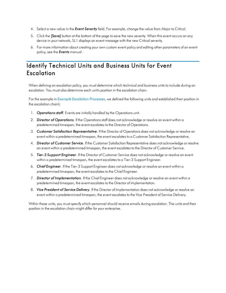- 4. Select a new value in the *Event Severity* field. For example, change the value from *Major* to *Critical*.
- 5. Click the **[Save]** button at the bottom of the page to save the new severity. When this event occurs on any device in your network, SL1 displays an event message with the new Critical severity.
- 6. For more information about creating your own custom event policy and editing other parameters of an event policy, see the *Events* manual .

#### <span id="page-8-0"></span>Identify Technical Units and Business Units for Event **Escalation**

When defining an escalation policy, you must determine which technical and business units to include during an escalation. You must also determine each unit's position in the escalation chain.

For the example in *Example [Escalation](#page-9-2) Processes*, we defined the following units and established their position in the escalation chain):

- 1. *Operations staff*. Events are initially handled by the Operations unit.
- 2. *Director of Operations*. If the Operations staff does not acknowledge or resolve an event within a predetermined timespan, the event escalates to the Director of Operations.
- 3. *Customer Satisfaction Representative*. If the Director of Operations does not acknowledge or resolve an event within a predetermined timespan, the event escalates to a Customer Satisfaction Representative.
- 4. *Director of Customer Service*. If the Customer Satisfaction Representative does not acknowledge or resolve an event within a predetermined timespan, the event escalates to the Director of Customer Service.
- 5. *Tier-3 Support Engineer*. If the Director of Customer Service does not acknowledge or resolve an event within a predetermined timespan, the event escalates to a Tier-3 Support Engineer.
- 6. *Chief Engineer*. If the Tier-3 Support Engineer does not acknowledge or resolve an event within a predetermined timespan, the event escalates to the Chief Engineer.
- 7. *Director of Implementation*. If the Chief Engineer does not acknowledge or resolve an event within a predetermined timespan, the event escalates to the Director of Implementation.
- 8. *Vice President of Service Delivery*. If the Director of Implementation does not acknowledge or resolve an event within a predetermined timespan, the event escalates to the Vice President of Service Delivery.

Within these units, you must specify which personnel should receive emails during escalation. The units and their position in the escalation chain might differ for your enterprise.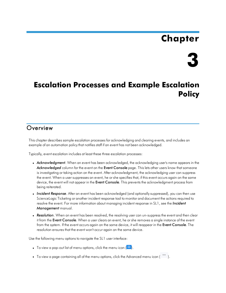# **Chapter**



## <span id="page-9-2"></span><span id="page-9-0"></span>**Escalation Processes and Example Escalation Policy**

#### <span id="page-9-1"></span>**Overview**

This chapter describes sample escalation processes for acknowledging and clearing events, and includes an example of an automation policy that notifies staff if an event has not been acknowledged.

Typically, event escalation includes at least these three escalation processes:

- **Acknowledgment**. When an event has been acknowledged, the acknowledging user's name appears in the *Acknowledged* column for the event on the Event Console page. This lets other users know that someone is investigating or taking action on the event. After acknowledgment, the acknowledging user can suppress the event. When a user suppresses an event, he or she specifies that, if this event occurs again on the same device, the event will not appear in the Event Console. This prevents the acknowledgment process from being reiterated.
- Incident Response. After an event has been acknowledged (and optionally suppressed), you can then use ScienceLogic Ticketing or another incident response tool to monitor and document the actions required to resolve the event. For more information about managing incident response in SL1, see the *Incident Management* manual.
- **Resolution**. When an event has been resolved, the resolving user can un-suppress the event and then clear it from the Event Console. When a user clears an event, he or she removes a single instance of the event from the system. If the event occurs again on the same device, it will reappear in the Event Console. The resolution ensures that the event won't occur again on the same device.

Use the following menu options to navigate the SL1 user interface:

- To view a pop-out list of menu options, click the menu icon  $( \blacksquare ).$
- To view a page containing all of the menu options, click the Advanced menu icon ("").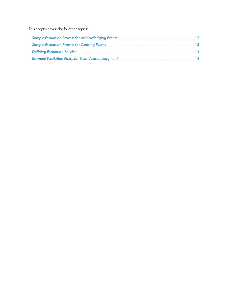This chapter covers the following topics: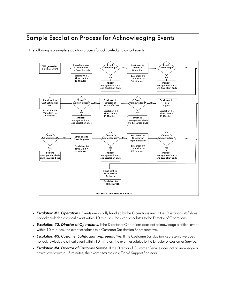#### <span id="page-11-0"></span>Sample Escalation Process for Acknowledging Events

The following is a sample escalation process for acknowledging critical events:



- **Escalation #1. Operations**. Events are initially handled by the Operations unit. If the Operations staff does not acknowledge a critical event within 10 minutes, the event escalates to the Director of Operations.
- <sup>l</sup> *Escalation #2. Director of Operations.* If the Director of Operations does not acknowledge a critical event within 10 minutes, the event escalates to a Customer Satisfaction Representative.
- <sup>l</sup> *Escalation #3. Customer Satisfaction Representative*. If the Customer Satisfaction Representative does not acknowledge a critical event within 10 minutes, the event escalates to the Director of Customer Service.
- **Escalation #4. Director of Customer Service**. If the Director of Customer Service does not acknowledge a critical event within 15 minutes, the event escalates to a Tier-3 Support Engineer.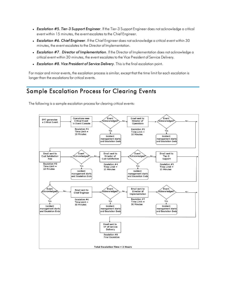- <sup>l</sup> *Escalation #5. Tier-3 Support Engineer*. If the Tier-3 Support Engineer does not acknowledge a critical event within 15 minutes, the event escalates to the Chief Engineer.
- **Escalation #6. Chief Engineer**. If the Chief Engineer does not acknowledge a critical event within 30 minutes, the event escalates to the Director of Implementation.
- <sup>l</sup> *Escalation #7*. *Director of Implementation*. If the Director of Implementation does not acknowledge a critical event within 30 minutes, the event escalates to the Vice President of Service Delivery.
- <sup>l</sup> *Escalation #8. Vice President of Service Delivery*. This is the final escalation point.

For major and minor events, the escalation process is similar, except that the time limit for each escalation is longer than the escalations for critical events.

### <span id="page-12-0"></span>Sample Escalation Process for Clearing Events

The following is a sample escalation process for clearing critical events:

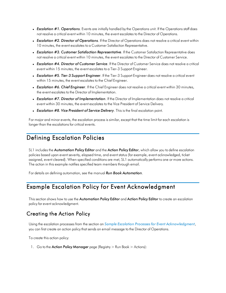- **Escalation #1. Operations**. Events are initially handled by the Operations unit. If the Operations staff does not resolve a critical event within 10 minutes, the event escalates to the Director of Operations.
- <sup>l</sup> *Escalation #2. Director of Operations*. If the Director of Operations does not resolve a critical event within 10 minutes, the event escalates to a Customer Satisfaction Representative.
- <sup>l</sup> *Escalation #3. Customer Satisfaction Representative*. If the Customer Satisfaction Representative does not resolve a critical event within 10 minutes, the event escalates to the Director of Customer Service.
- <sup>l</sup> *Escalation #4. Director of Customer Service*. If the Director of Customer Service does not resolve a critical event within 15 minutes, the event escalates to a Tier-3 Support Engineer.
- <sup>l</sup> *Escalation #5. Tier-3 Support Engineer*. If the Tier-3 Support Engineer does not resolve a critical event within 15 minutes, the event escalates to the Chief Engineer.
- **Escalation #6. Chief Engineer**. If the Chief Engineer does not resolve a critical event within 30 minutes, the event escalates to the Director of Implementation.
- <sup>l</sup> *Escalation #7. Director of Implementation*. If the Director of Implementation does not resolve a critical event within 30 minutes, the event escalates to the Vice President of Service Delivery.
- <sup>l</sup> *Escalation #8. Vice President of Service Delivery*. This is the final escalation point.

For major and minor events, the escalation process is similar, except that the time limit for each escalation is longer than the escalations for critical events.

#### <span id="page-13-0"></span>Defining Escalation Policies

SL1 includes the Automation Policy Editor and the Action Policy Editor, which allow you to define escalation policies based upon event severity, elapsed time, and event status (for example, event acknowledged, ticket assigned, event cleared). When specified conditions are met, SL1 automatically performs one or more actions. The action in this example notifies specified team members through email.

<span id="page-13-1"></span>For details on defining automation, see the manual *Run Book Automation*.

#### Example Escalation Policy for Event Acknowledgment

This section shows how to use the Automation Policy Editor and Action Policy Editor to create an escalation policy for event acknowledgment.

#### <span id="page-13-2"></span>Creating the Action Policy

Using the escalation processes from the section on *Sample Escalation Processes for Event [Acknowledgment](#page-11-0)*, you can first create an action policy that sends an email message to the Director of Operations.

To create this action policy:

1. Go to the **Action Policy Manager** page (Registry  $>$  Run Book  $>$  Actions):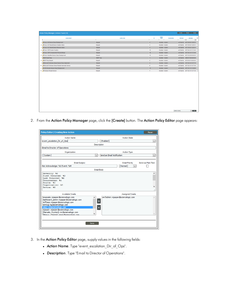2. From the Action Policy Manager page, click the [Create] button. The Action Policy Editor page appears:

| <b>Policy Editor   Creating New Action</b>                                                                                                                                                                                                                                                                     | Reset                                                           |
|----------------------------------------------------------------------------------------------------------------------------------------------------------------------------------------------------------------------------------------------------------------------------------------------------------------|-----------------------------------------------------------------|
| <b>Action Name</b>                                                                                                                                                                                                                                                                                             | <b>Action State</b>                                             |
| event_escalation_Dir_of_Ops                                                                                                                                                                                                                                                                                    | [Enabled]<br>$\checkmark$                                       |
|                                                                                                                                                                                                                                                                                                                | <b>Description</b>                                              |
| Email to Director of Operations                                                                                                                                                                                                                                                                                |                                                                 |
| Organization                                                                                                                                                                                                                                                                                                   | <b>Action Type</b>                                              |
| [System]<br>$\checkmark$                                                                                                                                                                                                                                                                                       | Send an Email Notification<br>$\checkmark$                      |
| <b>Email Subject</b>                                                                                                                                                                                                                                                                                           | Send as Plain Text<br><b>Email Priority</b>                     |
| Not Acknowledge: %S Event: %M                                                                                                                                                                                                                                                                                  | [Normal]                                                        |
|                                                                                                                                                                                                                                                                                                                | <b>Email Body</b>                                               |
| Severity: %S<br>First Occurred: &D<br>Last Occurred: &d<br>Occurrences: %c<br>Source: %Z<br>Organization: %0<br>Device: %X                                                                                                                                                                                     | v<br>.i                                                         |
| <b>Available Emails</b>                                                                                                                                                                                                                                                                                        | <b>Assigned Emails</b>                                          |
| bmarsalis: mjasper@sciencelogic.com<br>dashboard admin: mjasper@sciencelogic.com<br>JeffJazz: mjasper@sciencelogic.com<br>kennyg: kg@sciencelogic.com<br>mikej: mj@sciencelogic.com<br>mjasper: mjasper@sciencelogic.com<br>[Marsalis, Wynton]: mr@sciencelogic.com<br>Mingus Charles]: mingr@sciencelogic.com | em7admin: mjasper@sciencelogic.com<br>$\rightarrow$<br>$\alpha$ |
| Save                                                                                                                                                                                                                                                                                                           |                                                                 |

- 3. In the Action Policy Editor page, supply values in the following fields:
	- Action Name. Type "event\_escalation\_Dir\_of\_Ops".
	- **Description**. Type "Email to Director of Operations".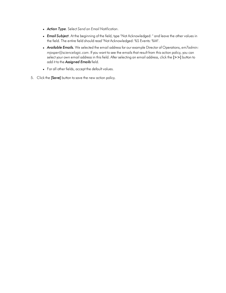- <sup>l</sup> *Action Type*. Select *Send an Email Notification*.
- **Email Subject**. At the beginning of the field, type "Not Acknowledged: " and leave the other values in the field. The entire field should read "Not Acknowledged: %S Events: %M".
- <sup>l</sup> *Available Emails.* We selected the email address for our example Director of Operations, *em7admin: mjasper@sciencelogic.com*. If you want to see the emails that result from this action policy, you can select your own email address in this field. After selecting an email address, click the [>>] button to add it to the *Assigned Emails* field.
- For all other fields, accept the default values.
- 5. Click the [Save] button to save the new action policy.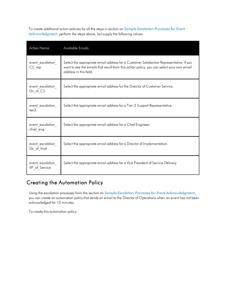To create additional action policies for all the steps in section on *Sample [Escalation](#page-11-0) Processes for Event [Acknowledgment](#page-11-0)*, perform the steps above, but supply the following values:

| <b>Action Name</b>                | Available Emails                                                                                                                                                                                               |
|-----------------------------------|----------------------------------------------------------------------------------------------------------------------------------------------------------------------------------------------------------------|
| event_escalation<br>$CS_{rep}$    | Select the appropriate email address for a Customer Satisfaction Representative. If you<br>want to see the emails that result from this action policy, you can select your own email<br>address in this field. |
| event escalation<br>Dir of CS     | Select the appropriate email address for the Director of Customer Service.                                                                                                                                     |
| event escalation<br>tier3         | Select the appropriate email address for a Tier-3 Support Representative.                                                                                                                                      |
| event escalation<br>chief eng     | Select the appropriate email address for a Chief Engineer.                                                                                                                                                     |
| event escalation<br>Dir of Impl   | Select the appropriate email address for a Director of Implementation.                                                                                                                                         |
| event escalation<br>VP of Service | Select the appropriate email address for a Vice President of Service Delivery.                                                                                                                                 |

#### <span id="page-16-0"></span>Creating the Automation Policy

Using the escalation processes from the section on *Sample Escalation Processes for Event [Acknowledgment](#page-11-0)*, you can create an automation policy that sends an email to the Director of Operations when an event has not been acknowledged for 10 minutes.

To create this automation policy: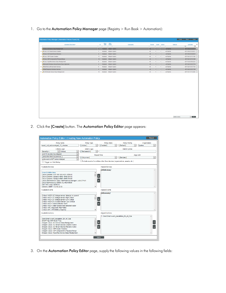1. Go to the **Automation Policy Manager** page (Registry > Run Book > Automation):

| Enabled Default System<br>AII<br>em7admin<br> 3 <br>$\vert$ 1<br>Enabled Default System<br>AII<br>em7admin<br>$\blacksquare$<br>$\overline{1}$<br>$\overline{1}$<br>AII<br>$\overline{2}$<br>Enabled Default System<br>em7admin<br>$\overline{1}$<br>1<br>4. <sup>A</sup> Cisco: CSP Cluster Creation<br>Default System<br>All<br>$\mathbf{1}$<br>em7admin<br>11<br>Enabled<br>$\mathbf{1}$<br>5. <sup>4</sup> Cisco: CSP Component to Physical Merge<br>AII<br>12<br>Default System<br>em7admin<br>Enabled<br>1<br>1<br>6. P Cisco: Hyperflex Device Class Realignment<br>Default System<br>em7admin<br>All<br>$\mathbf{1}$<br>$\overline{1}$<br>$\overline{9}$<br>Enabled<br>7. AMicrosoft: Windows Server Device Class Alignment<br>Default System<br>AII<br>$\overline{4}$<br>$\mathbf{1}$<br>1<br>em7admin<br>Enabled<br>8. <sup>A</sup> Start Microsoft Automatic Services<br>Default System<br>All<br>$\mathbf{1}$<br>$\overline{1}$<br>em7admin<br>6<br>Enabled<br>Enabled Default System<br>5<br>AII<br>em7admin<br>$\mathbf{1}$<br>1<br>All<br>10. PUCS Director Device Class Realignment<br>10 <sup>10</sup><br>Enabled Default System<br>$1 -$<br>$\mathbf{1}$<br>em7admin |                                                   | $\Omega$ | Policy<br>State | Policy<br>Priority | Organization | Devices | Events Actions | <b>Edited By</b> | <b>Last Edited</b><br>All<br>$\vert \vee \vert$ |
|----------------------------------------------------------------------------------------------------------------------------------------------------------------------------------------------------------------------------------------------------------------------------------------------------------------------------------------------------------------------------------------------------------------------------------------------------------------------------------------------------------------------------------------------------------------------------------------------------------------------------------------------------------------------------------------------------------------------------------------------------------------------------------------------------------------------------------------------------------------------------------------------------------------------------------------------------------------------------------------------------------------------------------------------------------------------------------------------------------------------------------------------------------------------------------------|---------------------------------------------------|----------|-----------------|--------------------|--------------|---------|----------------|------------------|-------------------------------------------------|
|                                                                                                                                                                                                                                                                                                                                                                                                                                                                                                                                                                                                                                                                                                                                                                                                                                                                                                                                                                                                                                                                                                                                                                                        | (A Cisco: ACI Device Class Realignment            |          |                 |                    |              |         |                |                  | 2017-05-02 12:26:31                             |
|                                                                                                                                                                                                                                                                                                                                                                                                                                                                                                                                                                                                                                                                                                                                                                                                                                                                                                                                                                                                                                                                                                                                                                                        | 2. <sup>A</sup> Cisco: ACI Tenant Device Creation |          |                 |                    |              |         |                |                  | 2017-05-02 12:26:31                             |
|                                                                                                                                                                                                                                                                                                                                                                                                                                                                                                                                                                                                                                                                                                                                                                                                                                                                                                                                                                                                                                                                                                                                                                                        | 3. <sup>(a</sup> Cisco: ACI Tenant Device Rename) |          |                 |                    |              |         |                |                  | 2017-05-02 12:26:31                             |
|                                                                                                                                                                                                                                                                                                                                                                                                                                                                                                                                                                                                                                                                                                                                                                                                                                                                                                                                                                                                                                                                                                                                                                                        |                                                   |          |                 |                    |              |         |                |                  | 2017-04-14 11:31:49                             |
|                                                                                                                                                                                                                                                                                                                                                                                                                                                                                                                                                                                                                                                                                                                                                                                                                                                                                                                                                                                                                                                                                                                                                                                        |                                                   |          |                 |                    |              |         |                |                  | 2017-04-14 11:31:49                             |
|                                                                                                                                                                                                                                                                                                                                                                                                                                                                                                                                                                                                                                                                                                                                                                                                                                                                                                                                                                                                                                                                                                                                                                                        |                                                   |          |                 |                    |              |         |                |                  | 2017-03-20 09:42:33                             |
|                                                                                                                                                                                                                                                                                                                                                                                                                                                                                                                                                                                                                                                                                                                                                                                                                                                                                                                                                                                                                                                                                                                                                                                        |                                                   |          |                 |                    |              |         |                |                  | 2017-02-16 10:17:13                             |
|                                                                                                                                                                                                                                                                                                                                                                                                                                                                                                                                                                                                                                                                                                                                                                                                                                                                                                                                                                                                                                                                                                                                                                                        |                                                   |          |                 |                    |              |         |                |                  | 2017-02-16 10:17:44                             |
|                                                                                                                                                                                                                                                                                                                                                                                                                                                                                                                                                                                                                                                                                                                                                                                                                                                                                                                                                                                                                                                                                                                                                                                        | 9. PStart Required Windows Services               |          |                 |                    |              |         |                |                  | 2017-02-16 10:17:39                             |
|                                                                                                                                                                                                                                                                                                                                                                                                                                                                                                                                                                                                                                                                                                                                                                                                                                                                                                                                                                                                                                                                                                                                                                                        |                                                   |          |                 |                    |              |         |                |                  | 2017-04-14 11:32:08                             |
|                                                                                                                                                                                                                                                                                                                                                                                                                                                                                                                                                                                                                                                                                                                                                                                                                                                                                                                                                                                                                                                                                                                                                                                        |                                                   |          |                 |                    |              |         |                |                  |                                                 |
|                                                                                                                                                                                                                                                                                                                                                                                                                                                                                                                                                                                                                                                                                                                                                                                                                                                                                                                                                                                                                                                                                                                                                                                        |                                                   |          |                 |                    |              |         |                |                  |                                                 |
|                                                                                                                                                                                                                                                                                                                                                                                                                                                                                                                                                                                                                                                                                                                                                                                                                                                                                                                                                                                                                                                                                                                                                                                        |                                                   |          |                 |                    |              |         |                |                  |                                                 |

2. Click the [Create] button. The Automation Policy Editor page appears:

| <b>Automation Policy Editor   Creating New Automation Policy</b>                                      |                    |                         |                                                                              | Reset                  |
|-------------------------------------------------------------------------------------------------------|--------------------|-------------------------|------------------------------------------------------------------------------|------------------------|
| <b>Policy Name</b>                                                                                    | Policy Type        | <b>Policy State</b>     | <b>Policy Priority</b>                                                       | Organization           |
| event_not_acknowleged_10_minutes                                                                      | <b>I</b> Active 1  | [Enabled]               | [ Default ]                                                                  | System<br>$\checkmark$ |
| Criteria Logic                                                                                        | <b>Match Logic</b> |                         | <b>Match Syntax</b>                                                          |                        |
| $\downarrow$   Critical.<br>Severity $=$                                                              | [Text search]      |                         |                                                                              |                        |
| and 10 minutes has elapsed<br>$\checkmark$                                                            |                    | <b>Repeat Time</b>      |                                                                              | Alian With             |
| [since the first occurrence, ]<br>$\checkmark$                                                        | [Only once]        |                         | [ Devices ]                                                                  | $\checkmark$           |
| and event is NOT acknowledged                                                                         |                    |                         |                                                                              |                        |
| Trigger on Child Rollup                                                                               |                    |                         | Include events for entities other than devices (organizations, assets, etc.) |                        |
| <b>Available Devices</b>                                                                              |                    | <b>Aligned Devices</b>  |                                                                              |                        |
|                                                                                                       |                    | (All devices)           |                                                                              |                        |
| <b>Jowa Goldfinches</b>                                                                               | $\wedge$           |                         |                                                                              |                        |
| Cisco Systems: 4331 ISR: ISR-4331-RTR-01                                                              |                    | »                       |                                                                              |                        |
| Cisco Systems: Catalyst 4948: 4948-SW-01<br>Cisco Systems: Catalyst 4948: 4948-SW-02                  |                    |                         |                                                                              |                        |
| Cisco TelePresence: Cisco TelePresence Manager: LAB-CTP-01                                            |                    | $\overline{\mathbf{K}}$ |                                                                              |                        |
| Cisco TelePresence: IX5000: SL-HQ-IX5000                                                              |                    |                         |                                                                              |                        |
| Dell: OEM: idrac-3470CX1                                                                              |                    |                         |                                                                              |                        |
| Generic: SNMP: 172.16.32.55                                                                           | $\checkmark$       |                         |                                                                              |                        |
| <b>Available Events</b>                                                                               |                    | <b>Aligned Events</b>   |                                                                              |                        |
|                                                                                                       |                    | (All events)            |                                                                              |                        |
| Critical: AKCP: AC Voltage sensor detects no current                                                  | Ä                  |                         |                                                                              |                        |
| Critical: AKCP: DC Voltage sensor High Critical<br>Critical: AKCP: DC Voltage sensor Low Critical     |                    | »                       |                                                                              |                        |
| Critical: AKCP: Dry Contact Sensor Low Critical                                                       |                    |                         |                                                                              |                        |
| Critical: AKCP: Smoke Detector Alert!                                                                 |                    | $\bar{\mathbf{g}}$      |                                                                              |                        |
| Critical: AKCP: Water Sensor has detected water                                                       |                    |                         |                                                                              |                        |
| Critical: APC: Diagnostic Test Failed                                                                 |                    |                         |                                                                              |                        |
| Critical: APC: UPS Battery Capacity                                                                   | v                  |                         |                                                                              |                        |
| <b>Available Actions</b>                                                                              |                    | <b>Aligned Actions</b>  |                                                                              |                        |
|                                                                                                       |                    |                         | 1. Send Email: event escalation Dir of Ops                                   |                        |
| Send Email: event escalation Dir of Ops                                                               | $\wedge$           |                         |                                                                              |                        |
| SNMP Trap: EM7 Event Trap<br>Snippet: Cisco: ACI Device Class Realignment                             |                    | »                       |                                                                              | $\uparrow$             |
| Snippet: Cisco: ACI Tenant Device Creation Action                                                     |                    |                         |                                                                              |                        |
| Snippet: Cisco: ACI Tenant Device Rename Action                                                       |                    | $\overline{\mathbf{R}}$ |                                                                              |                        |
| Snippet: Cisco: CSP Cluster Creation                                                                  |                    |                         |                                                                              |                        |
| Snippet: Cisco: CSP Component to Physical Merge<br>Snippet: Cisco: Hyperflex Device Class Realignment |                    |                         |                                                                              |                        |
|                                                                                                       |                    |                         |                                                                              |                        |
|                                                                                                       |                    | Save                    |                                                                              |                        |

3. On the Automation Policy Editor page, supply the following values in the following fields: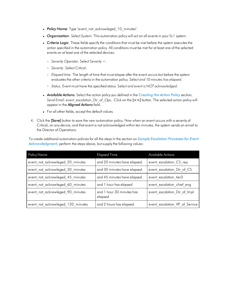- Policy Name. Type "event not acknowleged 10 minutes".
- **Organization**. Select System. This automation policy will act on all events in your SL1 system.
- **Criteria Logic**. These fields specify the conditions that must be met before the system executes the action specified in the automation policy. All conditions must be met for at least one of the selected events on at least one of the selected devices.
	- <sup>o</sup> *Severity Operator*. Select *Severity =*.
	- <sup>o</sup> *Severity*. Select *Critical*.
	- <sup>o</sup> *Elapsed time*. The length of time that must elapse after the event occurs but before the system evaluates the other criteria in the automation policy. Select *and 10 minutes has elapsed*.
	- <sup>o</sup> *Status*. Event must have the specified status. Select *and event is NOT acknowledged*.
- <sup>l</sup> *Available Actions.* Select the action policy you defined in the *[Creating](#page-13-2) the Action Policy* section, *Send Email: event\_escalation\_Dir\_of\_Ops*. Click on the [>>] button. The selected action policy will appear in the *Aligned Actions* field.
- For all other fields, accept the default values.
- 4. Click the **[Save]** button to save the new automation policy. Now when an event occurs with a severity of Critical, on any device, and that event is not acknowledged within ten minutes, the system sends an email to the Director of Operations.

To create additional automation policies for all the steps in the section on *Sample [Escalation](#page-11-0) Processes for Event [Acknowledgment](#page-11-0)*, perform the steps above, but supply the following values:

| <b>Policy Name</b>                | <b>Elapsed Time</b>                  | <b>Available Actions</b>       |
|-----------------------------------|--------------------------------------|--------------------------------|
| event not acknowleged 20 minutes  | and 20 minutes have elapsed.         | event escalation CS rep        |
| event not acknowleged 30 minutes  | and 30 minutes have elapsed.         | event escalation Dir of CS     |
| event not acknowleged 45 minutes  | and 45 minutes have elapsed.         | event escalation tier3         |
| event not acknowleged 60 minutes  | and 1 hour has elapsed               | event escalation chief eng     |
| event not acknowleged 90 minutes  | and 1 hour 30 minutes has<br>elapsed | event escalation Dir of Impl   |
| event not acknowleged 120 minutes | and 2 hours has elapsed.             | event escalation VP of Service |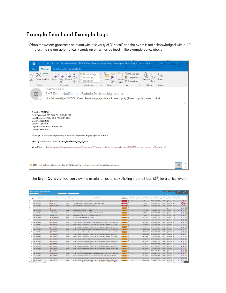#### <span id="page-19-0"></span>Example Email and Example Logs

When the system generates an event with a severity of "Critical" and the event is not acknowledged within 10 minutes, the system automatically sends an email, as defined in the example policy above.



In the Event Console, you can view the escalation actions by clicking the mail icon  $(2)$  for a critical event:

|                                                                                                                | Guide<br>Actions<br>Kiosk<br>Reset<br><b>Event Console   Events Found [62]</b> |                         |        |                                                                                                                                                                                              |                |                 |                |                 |                                     |        |                                                |       |                |                    |
|----------------------------------------------------------------------------------------------------------------|--------------------------------------------------------------------------------|-------------------------|--------|----------------------------------------------------------------------------------------------------------------------------------------------------------------------------------------------|----------------|-----------------|----------------|-----------------|-------------------------------------|--------|------------------------------------------------|-------|----------------|--------------------|
| Save Delete<br>Organization<br>$\vert \vee \vert$<br>Custom View:<br>Search:<br><b>H</b> Refreshing in 10 secs |                                                                                |                         |        |                                                                                                                                                                                              |                |                 |                |                 |                                     |        |                                                | Pause | Refresh        |                    |
|                                                                                                                | Organization .                                                                 | Name .                  | Type   | <b>Event Message</b>                                                                                                                                                                         | Severity       | Acknowledged    | Ticket         | Age / Elapsed   | Last Detected .                     | ED     | Source                                         | Count | Notify         | $\Box$             |
|                                                                                                                | v                                                                              |                         |        |                                                                                                                                                                                              | [>+Healthy ] ~ |                 |                |                 | All.<br>$\sim$                      |        |                                                |       |                |                    |
| ٩                                                                                                              | <b>Iowa Goldfinches</b>                                                        | M 4948-SW-01            | Device | Power supply problem. Power supply (Power Supply 1) state: critical                                                                                                                          | Critical       | $\Box$ em7admin | $\sim$         | 1 wk 5 days     | 2017-08-08 09:30:09                 |        | 136468 1 Dynamic 622                           |       | $\sim$         | $05$ $\Box$        |
| ٩                                                                                                              | 2. Iowa Goldfinches                                                            | <b>MI4948-SW-02</b>     | Device | Power supply problem, Power supply (Power Supply 1) state: critical                                                                                                                          | Critical       | 図               |                | 1 wk 5 days     | 2017-06-08 09:30:09                 |        | 136475   Dynamic 622                           |       |                | ♠                  |
| o,                                                                                                             | 3. Iowa Goldfinches                                                            | MISR-4331-RTR-01        | Device | Fan problem, Fan (Fan 1 Critical) state: shutdown                                                                                                                                            | Critical       | ıе<br>$\sim$    | <b>Section</b> | 1 wk 5 days     | 2017-06-08 09:30:09                 |        | 136470 [1] Dynamic 622                         |       | 11             | <b>OBBL</b>        |
|                                                                                                                | 4. Iowa Goldfinches                                                            | 10.64.68.31             | Device | Device Failed Availability Check: ICMP Ping                                                                                                                                                  | <b>Major</b>   | 國<br><b>A</b>   |                | 2 wks 5 days    | 2017-06-08 09:52:23                 | 127905 | 10 Internal 5,737                              |       |                | $60^\circ$<br>л    |
|                                                                                                                | 5. Iowa Goldfinches                                                            | $-$ 10.64.68.32         | Device | Device Failed Availability Check: ICMP Ping                                                                                                                                                  | <b>Major</b>   | e               |                | 2 wks 5 days    | 2017-06-08 09:52:23                 |        | 127908 bill internal                           | 5.737 |                | <b>BB</b><br>n     |
|                                                                                                                | 6. Iowa Goldfinches                                                            | A 172.16.32.55          | Device | Port not responding to connection: Port http - 80 (IP: 172.16.32.55)                                                                                                                         | Major          | 1回              |                | 1 wk 5 days     | 2017-05-08 09:55:20                 |        | 136422 <b>Dimensi</b> 3,733                    |       |                | $\bullet$          |
|                                                                                                                | 7. Iowa Goldfinches                                                            | GHLAB-CTP-01            | Device | Illicit process running: "racoon" "I-F I-f /etc/racoon/racoon\.conf                                                                                                                          | Major          | œ<br>÷          | -              | 1 wk 5 days     | 2017-06-08 09:54:06                 |        | 136403 [9] Internal 3,733                      |       | $\sim$         | <b>GET</b><br>п    |
|                                                                                                                | 8. Iowa Goldfinches                                                            | MILAB-WIN2K3-SP2        | Device | Device Failed Availability Check: UDP - SNMP                                                                                                                                                 | Major          | 日               |                | 2 wks 5 days    | 2017-06-08 09:52:23                 |        | 127904 M Internal 5,737                        |       |                | 65                 |
| ٩                                                                                                              | 9. Iowa Goldfinches                                                            | M SL-HQ-D(5000          | Device | Front Left Mic is Down - Status is cableError                                                                                                                                                | Major          | ø<br>$\sim$     | <b>Sec</b>     | 1 wk 5 days     | 2017-06-08 09:55:12                 | 136420 | 11 Dynamic 3,733                               |       |                | $\Theta$           |
|                                                                                                                | 10. Iowa Goldfinches                                                           | M SL-HQ-D(5000          | Device | Primary Codec groot1-2 Interface Transmit Error rate has exceeded threshold: 10%, currently 100%                                                                                             | Major          | ₽               |                | 4 hrs 55 mins   | 2017-06-08 09:45:12                 |        | 155230 [b] Dynamic 20                          |       |                | $65^\circ$<br>л    |
|                                                                                                                | 11. Iowa Goldfinches                                                           | M SL-HQ-D(5000          | Device | Primary Codec groci3-0 Interface Receive Error rate has exceeded threshold: 10%, currently 100%                                                                                              | Major          | 図               | -              | 40 mins 40 secs | 2017-05-08 09:45:12                 | 155536 | b) Dynamic 3                                   |       | $\sim$         | <b>BB</b>          |
|                                                                                                                | 12. Iowa Goldfinches                                                           | M SL-HQ-D(5000          | Device | Primary Codec oxpol 1-2 Interface Receive Error rate has exceeded threshold: 10%, currently 100%                                                                                             | Major          | 回               |                | 4 hrs 25 mins   | 2017-06-08 09:45:12                 | 155257 | Dynamic 18                                     |       |                | 60<br>$\Box$       |
|                                                                                                                | 13. Iowa Goldfinches                                                           | SL-HQ-D(5000            | Device | Primary Codec groci4-3 Interface Transmit Error rate has exceeded threshold: 10%, currently 100%                                                                                             | Major          | 図               | -              |                 | 25 mins 49 secs 2017-06-08 09:45:12 |        | 155545 + Dynamic 2                             |       | <b>Section</b> | $\Theta$<br>П      |
|                                                                                                                | 14. Iowa Goldfinches                                                           | .dl SL-HQ-D(5000        | Device | Primary Codec oxoci4-1 Interface Transmit Error rate has exceeded threshold: 10%, currently 100%                                                                                             | Major          | Ø               |                | 12 hrs 10 mins  | 2017-06-08 09:45:12                 |        | 154782 <b>iii</b> Dynamic 49                   |       | $\sim$         | @33                |
|                                                                                                                | 15. Iowa Goldfinches                                                           | M SL-HQ-D(5000          | Device | Primary Codec oxoci1-1 Interface Receive Error rate has exceeded threshold: 10%, currently 100%                                                                                              | Major          | œ               |                | 10 hrs 40 mins  | 2017-06-08 09:45:12                 |        | 154893 1 Dynamic 43                            |       | $\sim$         | $05$ $\Box$        |
|                                                                                                                | 16. Iowa Goldfinches                                                           | <b>MISL-HQ-0(5000</b>   | Device | Primary Codec groci2-3 Interface Receive Error rate has exceeded threshold: 10%, currently 200%                                                                                              | Major.         | 図               | <b>1999</b>    | 3 hrs 40 mins   | 2017-06-08 09:45:12                 |        | 155321   Dynamic 15                            |       | $\sim$         | 65<br>$\Box$       |
|                                                                                                                | 17. Iowa Goldfinches                                                           | M SL-HQ-D(5000          | Device | Primary Codec lo Interface Receive Error rate has exceeded threshold: 10%, currently 200%                                                                                                    | Major          | e               | <b>Section</b> | 4 days 2 hrs.   | 2017-06-08 09:45:12                 | 149666 | 11 Dynamic 395                                 |       | and in         | $\Theta$           |
|                                                                                                                | 18. Iowa Goldfinches                                                           | <b>MISL-HQ-D(5000</b>   | Device | Primary Codec gxpci2-0 Interface Receive Error rate has exceeded threshold: 10%, currently 100%                                                                                              | Major          | 図               |                | 9 hrs 25 mins   | 2017-06-08 09:45:12                 |        | 154944 [1] Dynamic 38                          |       |                | 65<br>л            |
|                                                                                                                | 19. Iowa Goldfinches                                                           | M SL-HQ-D(5000          | Device | Primary Codec ax0 Interface Transmit Error rate has exceeded threshold: 10%, currently 100%                                                                                                  | Major          | e<br>×.         | -              | 3 hrs 25 mins   | 2017-06-08 09:45:12                 |        | 155335 in Dynamic 14                           |       | $\sim$         | <b>BB</b>          |
|                                                                                                                | 20. Iowa Goldfinches                                                           | M SL-HQ-D(5000          | Device | Primary Codec oxoci3-3 Interface Receive Error rate has exceeded threshold: 10%, currently 100%                                                                                              | Major          | 固               |                | 8 hrs 40 mins   | 2017-05-08 09:45:12                 | 155007 | Dynamic 35                                     |       |                | 00<br>$\Box$       |
|                                                                                                                | 21. Iowa Goldfinches                                                           | M SL-HQ-0(5000          | Device | Primary Codec groci4-1 Interface Receive Error rate has exceeded threshold: 10%, currently 1700%                                                                                             | Major          | E<br>×.         | ×.             | 2 hrs 55 mins   | 2017-06-08 09:45:12                 |        | 155383 <u>+</u> Dynamic 12                     |       | $\sim$         | $000$ $\Box$       |
|                                                                                                                | 22. Iowa Goldfinches                                                           | an SL-HQ-D(5000         | Device | Primary Codec oxpci2-1 Interface Transmit Error rate has exceeded threshold: 10%, currently 500%                                                                                             | <b>Major</b>   | ₽               |                | 8 hrs 10 mins   | 2017-06-08 09:45:12                 |        | 155025   Dynamic 33                            |       |                | 05<br>$\Box$       |
|                                                                                                                | 23. Iowa Goldfinches                                                           | M SL-HQ-D(5000          | Device | Primary Codec gopci4-0 Interface Transmit Error rate has exceeded threshold: 10%, currently 100%                                                                                             | Major          | ø<br>$\sim$     | <b>Sec</b>     | 2 hrs 40 mins   | 2017-06-08 09:45:12                 |        | 155401 11 Dynamic 11                           |       | $\sim$         | <b>GEO</b>         |
|                                                                                                                | 24 Inwa Goldfinches                                                            | <b>MISL-HQ-0(5000</b>   | Device | Primary Codec eth0 Interface Transmit Error rate has exceeded threshold: 10%, currently 300%                                                                                                 | Major          | ₽               |                | 7 hrs 40 mins   | 2017-06-08 09:45:12                 |        | 155082 <b>Dynamic 31</b>                       |       |                | $65^\circ$<br>л    |
|                                                                                                                | 25. Iowa Goldfinches                                                           | M SL-HQ-D(5000          | Device | Primary Codec good3-1 Interface Receive Error rate has exceeded threshold: 10%, currently 100%                                                                                               | Major          | e               |                | 2 hrs 10 mins   | 2017-05-08 09:45:12                 |        | 155424 11 Dynamic 9                            |       | $\sim$         | <b>BB</b>          |
|                                                                                                                | 26. Iowa Goldfinches<br>$\overline{\vee}$<br><b>IViewing Pape: 11</b>          | <b>All SL-HQ-D(5000</b> | Device | Primary Codec oxoci3-2 Interface Receive Error rate has exceeded threshold: 10%, currently 200%<br>0 (+1) Healthy<br>$\Box$ 0 (+5) Notice<br>44 Major<br><b>A Critical</b><br>$3 (+6)$ Minor | Major:         | 固               |                | 18 hrs 40 mins  | 2017-06-08 09:45:12                 |        | 154372 Ill Dynamic 75<br><b>ISelect Action</b> |       | $\sim$         | $60T$ $\Box$<br>Go |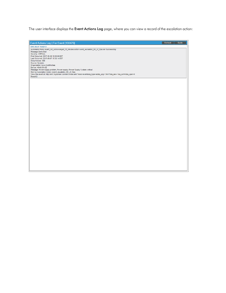The user interface displays the Event Actions Log page, where you can view a record of the escalation action:

| Event Actions Log   For Event [136475]                                                                                                                                                                                                   | Guide<br>Refresh |
|------------------------------------------------------------------------------------------------------------------------------------------------------------------------------------------------------------------------------------------|------------------|
| 2017-06-07 16:42:12                                                                                                                                                                                                                      |                  |
| Automation Policy event_not_acknowleged_10_minutes action event_escalation_Dir_of_Ops ran Successfully<br>Message:Sent email:<br>Severity: CRITICAL<br>First Occurred: 2017-05-26 10:00:09 EST<br>Last Occurred: 2017-06-07 15:30:14 EST |                  |
| Occurrences: 588<br>Source: Dynamic<br>Organization: Iowa Goldfinches<br>Device: 4948-SW-02<br>Message: Power supply problem, Power supply (Power Supply 1) state: critical                                                              |                  |
| Sent by Automation Action: event_escalation_Dir_of_Ops<br>View this event at: http://em7.mydomain.com/em7/index.em7?exec=events&q_type=aid&q_arg=136475&q_sev=1&q_sort=0&q_oper=0<br>Result:{}                                           |                  |
|                                                                                                                                                                                                                                          |                  |
|                                                                                                                                                                                                                                          |                  |
|                                                                                                                                                                                                                                          |                  |
|                                                                                                                                                                                                                                          |                  |
|                                                                                                                                                                                                                                          |                  |
|                                                                                                                                                                                                                                          |                  |
|                                                                                                                                                                                                                                          |                  |
|                                                                                                                                                                                                                                          |                  |
|                                                                                                                                                                                                                                          |                  |
|                                                                                                                                                                                                                                          |                  |
|                                                                                                                                                                                                                                          |                  |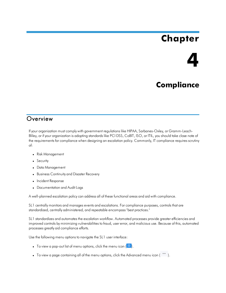# **Chapter**



## **Compliance**

#### <span id="page-21-0"></span>**Overview**

If your organization must comply with government regulations like HIPAA, Sarbanes-Oxley, or Gramm-Leach-Bliley, or if your organization is adopting standards like PCI DSS, CoBIT, ISO, or ITIL, you should take close note of the requirements for compliance when designing an escalation policy. Commonly, IT compliance requires scrutiny of:

- Risk Management
- Security
- Data Management
- **Business Continuity and Disaster Recovery**
- Incident Response
- Documentation and Audit Logs

A well-planned escalation policy can address all of these functional areas and aid with compliance.

SL1 centrally monitors and manages events and escalations. For compliance purposes, controls that are standardized, centrally administered, and repeatable encompass "best practices."

SL1 standardizes and automates the escalation workflow. Automated processes provide greater efficiencies and improved controls by minimizing vulnerabilities to fraud, user error, and malicious use. Because of this, automated processes greatly aid compliance efforts.

Use the following menu options to navigate the SL1 user interface:

- To view a pop-out list of menu options, click the menu icon  $(\equiv)$ .
- To view a page containing all of the menu options, click the Advanced menu icon  $($   $)$ .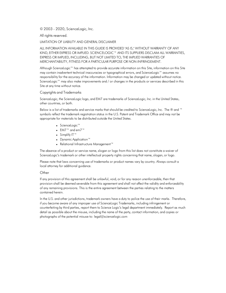#### © 2003 - 2020, ScienceLogic, Inc.

#### All rights reserved.

#### LIMITATION OF LIABILITY AND GENERAL DISCLAIMER

ALL INFORMATION AVAILABLE IN THIS GUIDE IS PROVIDED "AS IS," WITHOUT WARRANTY OF ANY KIND, EITHER EXPRESS OR IMPLIED. SCIENCELOGIC™ AND ITS SUPPLIERS DISCLAIM ALL WARRANTIES, EXPRESS OR IMPLIED, INCLUDING, BUT NOT LIMITED TO, THE IMPLIED WARRANTIES OF MERCHANTABILITY, FITNESS FOR A PARTICULAR PURPOSE OR NON-INFRINGEMENT.

Although ScienceLogic™ has attempted to provide accurate information on this Site, information on this Site may contain inadvertent technical inaccuracies or typographical errors, and ScienceLogic™ assumes no responsibility for the accuracy of the information. Information may be changed or updated without notice. ScienceLogic™ may also make improvements and / or changes in the products or services described in this Site at any time without notice.

#### Copyrights and Trademarks

ScienceLogic, the ScienceLogic logo, and EM7 are trademarks of ScienceLogic, Inc. in the United States, other countries, or both.

Below is a list of trademarks and service marks that should be credited to ScienceLogic, Inc. The ® and ™ symbols reflect the trademark registration status in the U.S. Patent and Trademark Office and may not be appropriate for materials to be distributed outside the United States.

- ScienceLogic™
- EM7<sup>™</sup> and em7™
- Simplify IT™
- Dynamic Application™
- Relational Infrastructure Management™

The absence of a product or service name, slogan or logo from this list does not constitute a waiver of ScienceLogic's trademark or other intellectual property rights concerning that name, slogan, or logo.

Please note that laws concerning use of trademarks or product names vary by country. Always consult a local attorney for additional guidance.

#### **Other**

If any provision of this agreement shall be unlawful, void, or for any reason unenforceable, then that provision shall be deemed severable from this agreement and shall not affect the validity and enforceability of any remaining provisions. This is the entire agreement between the parties relating to the matters contained herein.

In the U.S. and other jurisdictions, trademark owners have a duty to police the use of their marks. Therefore, if you become aware of any improper use of ScienceLogic Trademarks, including infringement or counterfeiting by third parties, report them to Science Logic's legal department immediately. Report as much detail as possible about the misuse, including the name of the party, contact information, and copies or photographs of the potential misuse to: legal@sciencelogic.com